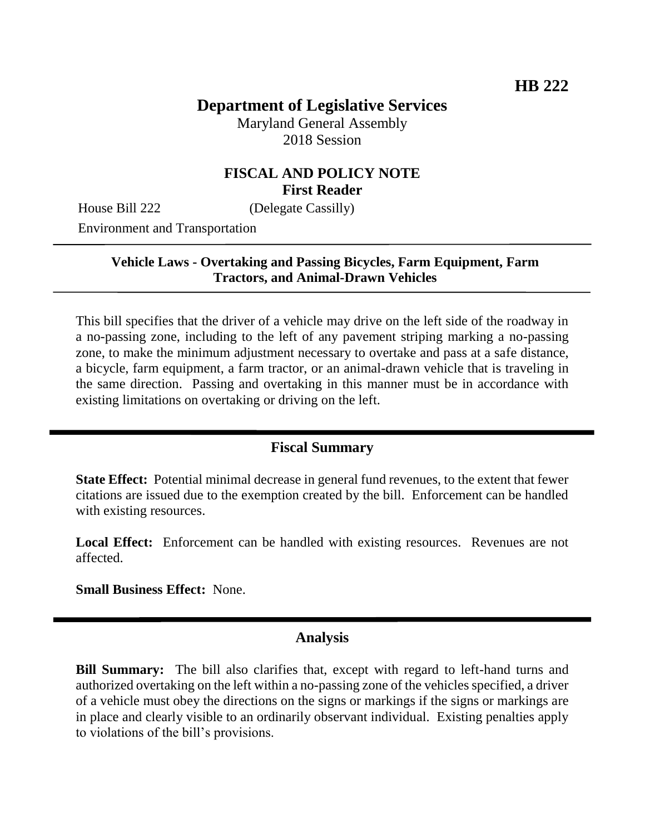# **Department of Legislative Services**

Maryland General Assembly 2018 Session

### **FISCAL AND POLICY NOTE First Reader**

House Bill 222 (Delegate Cassilly)

Environment and Transportation

#### **Vehicle Laws - Overtaking and Passing Bicycles, Farm Equipment, Farm Tractors, and Animal-Drawn Vehicles**

This bill specifies that the driver of a vehicle may drive on the left side of the roadway in a no-passing zone, including to the left of any pavement striping marking a no-passing zone, to make the minimum adjustment necessary to overtake and pass at a safe distance, a bicycle, farm equipment, a farm tractor, or an animal-drawn vehicle that is traveling in the same direction. Passing and overtaking in this manner must be in accordance with existing limitations on overtaking or driving on the left.

#### **Fiscal Summary**

**State Effect:** Potential minimal decrease in general fund revenues, to the extent that fewer citations are issued due to the exemption created by the bill. Enforcement can be handled with existing resources.

Local Effect: Enforcement can be handled with existing resources. Revenues are not affected.

**Small Business Effect:** None.

#### **Analysis**

**Bill Summary:** The bill also clarifies that, except with regard to left-hand turns and authorized overtaking on the left within a no-passing zone of the vehicles specified, a driver of a vehicle must obey the directions on the signs or markings if the signs or markings are in place and clearly visible to an ordinarily observant individual. Existing penalties apply to violations of the bill's provisions.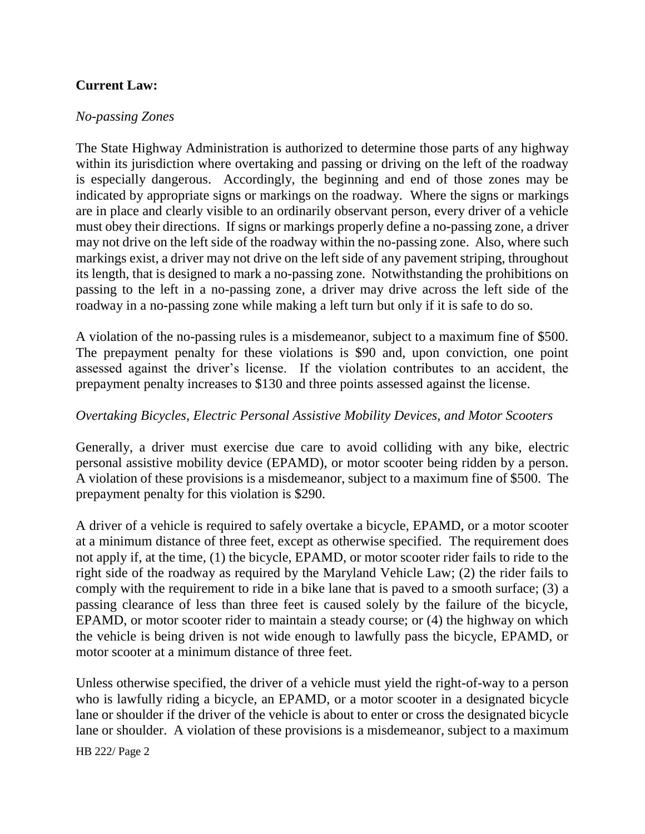## **Current Law:**

#### *No-passing Zones*

The State Highway Administration is authorized to determine those parts of any highway within its jurisdiction where overtaking and passing or driving on the left of the roadway is especially dangerous. Accordingly, the beginning and end of those zones may be indicated by appropriate signs or markings on the roadway. Where the signs or markings are in place and clearly visible to an ordinarily observant person, every driver of a vehicle must obey their directions. If signs or markings properly define a no-passing zone, a driver may not drive on the left side of the roadway within the no-passing zone. Also, where such markings exist, a driver may not drive on the left side of any pavement striping, throughout its length, that is designed to mark a no-passing zone. Notwithstanding the prohibitions on passing to the left in a no-passing zone, a driver may drive across the left side of the roadway in a no-passing zone while making a left turn but only if it is safe to do so.

A violation of the no-passing rules is a misdemeanor, subject to a maximum fine of \$500. The prepayment penalty for these violations is \$90 and, upon conviction, one point assessed against the driver's license. If the violation contributes to an accident, the prepayment penalty increases to \$130 and three points assessed against the license.

#### *Overtaking Bicycles, Electric Personal Assistive Mobility Devices, and Motor Scooters*

Generally, a driver must exercise due care to avoid colliding with any bike, electric personal assistive mobility device (EPAMD), or motor scooter being ridden by a person. A violation of these provisions is a misdemeanor, subject to a maximum fine of \$500. The prepayment penalty for this violation is \$290.

A driver of a vehicle is required to safely overtake a bicycle, EPAMD, or a motor scooter at a minimum distance of three feet, except as otherwise specified. The requirement does not apply if, at the time, (1) the bicycle, EPAMD, or motor scooter rider fails to ride to the right side of the roadway as required by the Maryland Vehicle Law; (2) the rider fails to comply with the requirement to ride in a bike lane that is paved to a smooth surface; (3) a passing clearance of less than three feet is caused solely by the failure of the bicycle, EPAMD, or motor scooter rider to maintain a steady course; or (4) the highway on which the vehicle is being driven is not wide enough to lawfully pass the bicycle, EPAMD, or motor scooter at a minimum distance of three feet.

Unless otherwise specified, the driver of a vehicle must yield the right-of-way to a person who is lawfully riding a bicycle, an EPAMD, or a motor scooter in a designated bicycle lane or shoulder if the driver of the vehicle is about to enter or cross the designated bicycle lane or shoulder. A violation of these provisions is a misdemeanor, subject to a maximum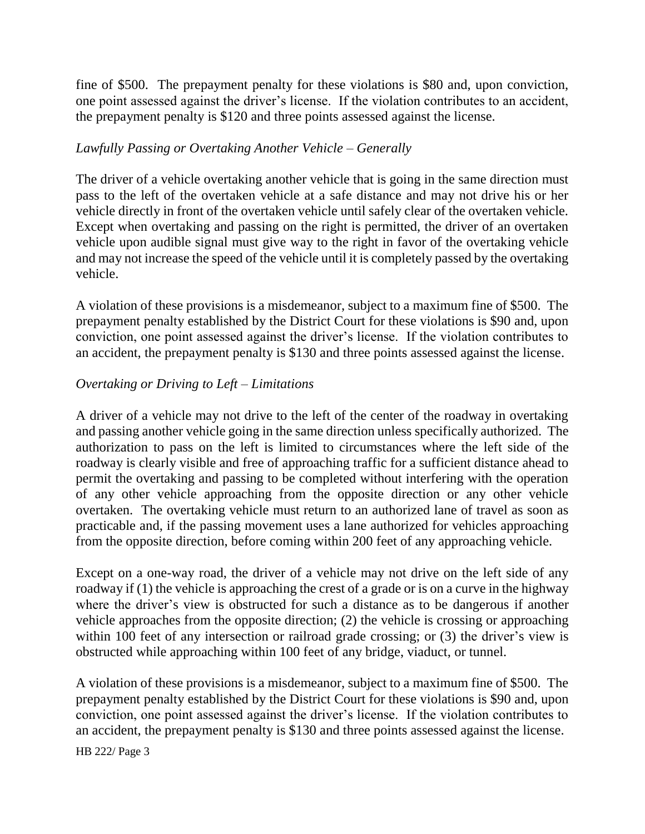fine of \$500. The prepayment penalty for these violations is \$80 and, upon conviction, one point assessed against the driver's license. If the violation contributes to an accident, the prepayment penalty is \$120 and three points assessed against the license.

#### *Lawfully Passing or Overtaking Another Vehicle – Generally*

The driver of a vehicle overtaking another vehicle that is going in the same direction must pass to the left of the overtaken vehicle at a safe distance and may not drive his or her vehicle directly in front of the overtaken vehicle until safely clear of the overtaken vehicle. Except when overtaking and passing on the right is permitted, the driver of an overtaken vehicle upon audible signal must give way to the right in favor of the overtaking vehicle and may not increase the speed of the vehicle until it is completely passed by the overtaking vehicle.

A violation of these provisions is a misdemeanor, subject to a maximum fine of \$500. The prepayment penalty established by the District Court for these violations is \$90 and, upon conviction, one point assessed against the driver's license. If the violation contributes to an accident, the prepayment penalty is \$130 and three points assessed against the license.

### *Overtaking or Driving to Left – Limitations*

A driver of a vehicle may not drive to the left of the center of the roadway in overtaking and passing another vehicle going in the same direction unless specifically authorized. The authorization to pass on the left is limited to circumstances where the left side of the roadway is clearly visible and free of approaching traffic for a sufficient distance ahead to permit the overtaking and passing to be completed without interfering with the operation of any other vehicle approaching from the opposite direction or any other vehicle overtaken. The overtaking vehicle must return to an authorized lane of travel as soon as practicable and, if the passing movement uses a lane authorized for vehicles approaching from the opposite direction, before coming within 200 feet of any approaching vehicle.

Except on a one-way road, the driver of a vehicle may not drive on the left side of any roadway if (1) the vehicle is approaching the crest of a grade or is on a curve in the highway where the driver's view is obstructed for such a distance as to be dangerous if another vehicle approaches from the opposite direction; (2) the vehicle is crossing or approaching within 100 feet of any intersection or railroad grade crossing; or (3) the driver's view is obstructed while approaching within 100 feet of any bridge, viaduct, or tunnel.

A violation of these provisions is a misdemeanor, subject to a maximum fine of \$500. The prepayment penalty established by the District Court for these violations is \$90 and, upon conviction, one point assessed against the driver's license. If the violation contributes to an accident, the prepayment penalty is \$130 and three points assessed against the license.